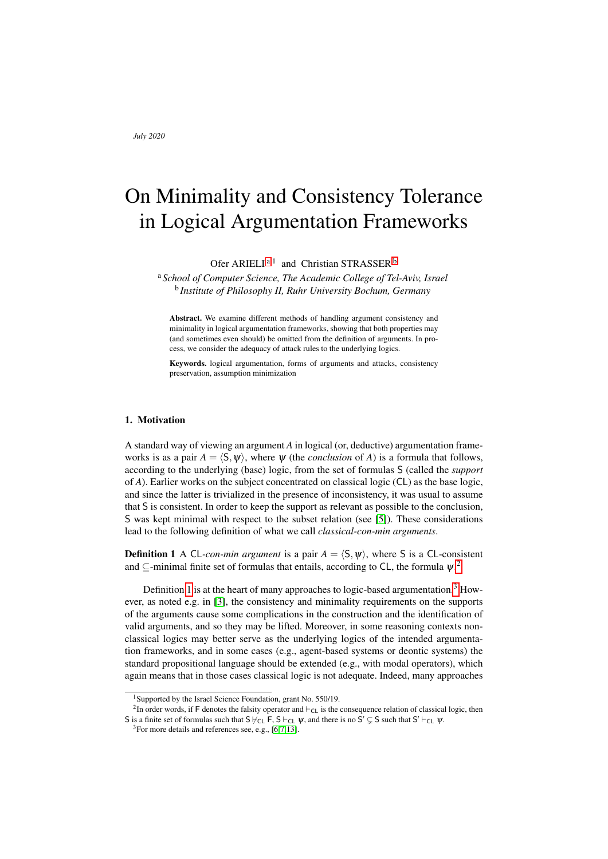# On Minimality and Consistency Tolerance in Logical Argumentation Frameworks

Ofer ARIELI<sup>[a](#page-0-0),1</sup> and Christian STRASSER<sup>[b](#page-0-1)</sup>

<span id="page-0-1"></span><span id="page-0-0"></span><sup>a</sup> *School of Computer Science, The Academic College of Tel-Aviv, Israel* b *Institute of Philosophy II, Ruhr University Bochum, Germany*

Abstract. We examine different methods of handling argument consistency and minimality in logical argumentation frameworks, showing that both properties may (and sometimes even should) be omitted from the definition of arguments. In process, we consider the adequacy of attack rules to the underlying logics.

Keywords. logical argumentation, forms of arguments and attacks, consistency preservation, assumption minimization

## 1. Motivation

A standard way of viewing an argument *A* in logical (or, deductive) argumentation frameworks is as a pair  $A = \langle S, \psi \rangle$ , where  $\psi$  (the *conclusion* of *A*) is a formula that follows, according to the underlying (base) logic, from the set of formulas S (called the *support* of *A*). Earlier works on the subject concentrated on classical logic (CL) as the base logic, and since the latter is trivialized in the presence of inconsistency, it was usual to assume that S is consistent. In order to keep the support as relevant as possible to the conclusion, S was kept minimal with respect to the subset relation (see [\[5\]](#page-11-0)). These considerations lead to the following definition of what we call *classical-con-min arguments*.

<span id="page-0-3"></span>**Definition 1** A CL-con-min argument is a pair  $A = \langle S, \psi \rangle$ , where S is a CL-consistent and  $\subseteq$ -minimal finite set of formulas that entails, according to CL, the formula  $\psi$ .<sup>[2](#page-0-2)</sup>

Definition [1](#page-0-3) is at the heart of many approaches to logic-based argumentation.<sup>[3](#page-0-4)</sup> However, as noted e.g. in [\[3\]](#page-11-1), the consistency and minimality requirements on the supports of the arguments cause some complications in the construction and the identification of valid arguments, and so they may be lifted. Moreover, in some reasoning contexts nonclassical logics may better serve as the underlying logics of the intended argumentation frameworks, and in some cases (e.g., agent-based systems or deontic systems) the standard propositional language should be extended (e.g., with modal operators), which again means that in those cases classical logic is not adequate. Indeed, many approaches

<span id="page-0-2"></span><sup>&</sup>lt;sup>1</sup>Supported by the Israel Science Foundation, grant No. 550/19.

<sup>&</sup>lt;sup>2</sup>In order words, if F denotes the falsity operator and  $\vdash_{CL}$  is the consequence relation of classical logic, then S is a finite set of formulas such that  $S \not\vdash_{CL} F$ ,  $S \vdash_{CL} \psi$ , and there is no  $S' \subsetneq S$  such that  $S' \vdash_{CL} \psi$ .

<span id="page-0-4"></span> $3$ For more details and references see, e.g., [\[6](#page-11-2)[,7,](#page-11-3)[13\]](#page-11-4).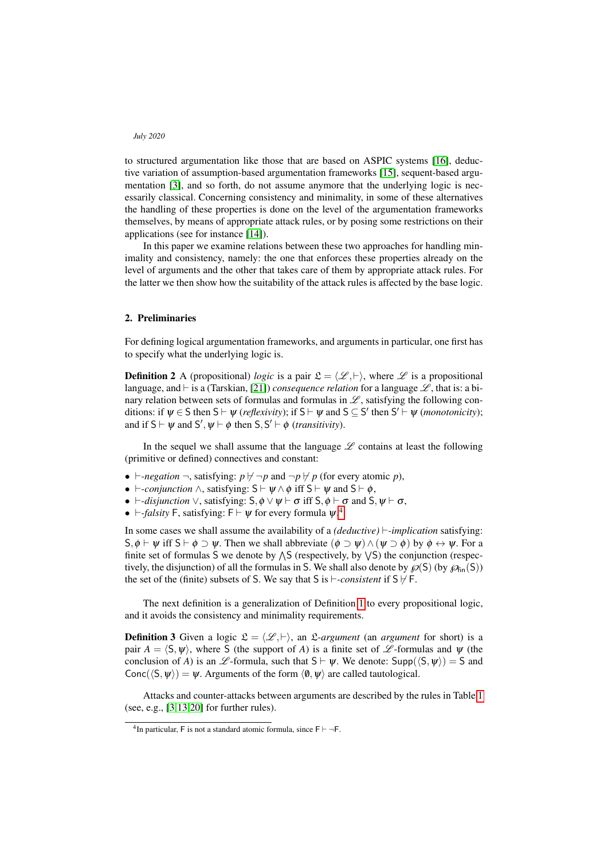to structured argumentation like those that are based on ASPIC systems [\[16\]](#page-11-5), deductive variation of assumption-based argumentation frameworks [\[15\]](#page-11-6), sequent-based argumentation [\[3\]](#page-11-1), and so forth, do not assume anymore that the underlying logic is necessarily classical. Concerning consistency and minimality, in some of these alternatives the handling of these properties is done on the level of the argumentation frameworks themselves, by means of appropriate attack rules, or by posing some restrictions on their applications (see for instance [\[14\]](#page-11-7)).

In this paper we examine relations between these two approaches for handling minimality and consistency, namely: the one that enforces these properties already on the level of arguments and the other that takes care of them by appropriate attack rules. For the latter we then show how the suitability of the attack rules is affected by the base logic.

## 2. Preliminaries

For defining logical argumentation frameworks, and arguments in particular, one first has to specify what the underlying logic is.

**Definition 2** A (propositional) *logic* is a pair  $\mathcal{L} = \langle \mathcal{L}, \vdash \rangle$ , where  $\mathcal{L}$  is a propositional language, and  $\vdash$  is a (Tarskian, [\[21\]](#page-11-8)) *consequence relation* for a language  $\mathscr{L}$ , that is: a binary relation between sets of formulas and formulas in  $\mathscr{L}$ , satisfying the following conditions: if  $\psi \in S$  then  $S \vdash \psi$  (*reflexivity*); if  $S \vdash \psi$  and  $S \subseteq S'$  then  $S' \vdash \psi$  (*monotonicity*); and if  $S \vdash \psi$  and  $S', \psi \vdash \phi$  then  $S, S' \vdash \phi$  (*transitivity*).

In the sequel we shall assume that the language  $\mathscr L$  contains at least the following (primitive or defined) connectives and constant:

- $\vdash$ *-negation*  $\neg$ , satisfying:  $p \nvdash \neg p$  and  $\neg p \nvdash p$  (for every atomic p),
- $\vdash$ -*conjunction*  $\land$ , satisfying:  $S \vdash \Psi \land \phi$  iff  $S \vdash \Psi$  and  $S \vdash \phi$ ,
- $\vdash$ -*disjunction*  $\vee$ , satisfying:  $S$ ,  $\phi \vee \psi \vdash \sigma$  iff  $S$ ,  $\phi \vdash \sigma$  and  $S$ ,  $\psi \vdash \sigma$ ,
- $\vdash$ -*falsity* F, satisfying: F  $\vdash \psi$  for every formula  $\psi$ .<sup>[4](#page-1-0)</sup>

In some cases we shall assume the availability of a *(deductive)*  $\vdash$ *-implication* satisfying:  $S, \phi \vdash \psi$  iff  $S \vdash \phi \supset \psi$ . Then we shall abbreviate  $(\phi \supset \psi) \wedge (\psi \supset \phi)$  by  $\phi \leftrightarrow \psi$ . For a finite set of formulas S we denote by  $\wedge$ S (respectively, by  $\vee$ S) the conjunction (respectively, the disjunction) of all the formulas in S. We shall also denote by  $\mathcal{P}(S)$  (by  $\mathcal{P}_{fin}(S)$ ) the set of the (finite) subsets of S. We say that S is  $\vdash$ -consistent if S  $\nvdash$  F.

The next definition is a generalization of Definition [1](#page-0-3) to every propositional logic, and it avoids the consistency and minimality requirements.

<span id="page-1-1"></span>**Definition 3** Given a logic  $\mathcal{L} = \langle \mathcal{L}, \vdash \rangle$ , an  $\mathcal{L}$ -argument (an *argument* for short) is a pair  $A = \langle S, \psi \rangle$ , where S (the support of *A*) is a finite set of L -formulas and  $\psi$  (the conclusion of *A*) is an  $\mathscr{L}$ -formula, such that  $S \vdash \Psi$ . We denote: Supp( $\langle S, \Psi \rangle$ ) = S and Conc( $\langle S, \psi \rangle$ ) =  $\psi$ . Arguments of the form  $\langle \emptyset, \psi \rangle$  are called tautological.

Attacks and counter-attacks between arguments are described by the rules in Table [1](#page-2-0) (see, e.g., [\[3,](#page-11-1)[13,](#page-11-4)[20\]](#page-11-9) for further rules).

<span id="page-1-0"></span><sup>&</sup>lt;sup>4</sup>In particular, F is not a standard atomic formula, since  $F \vdash \neg F$ .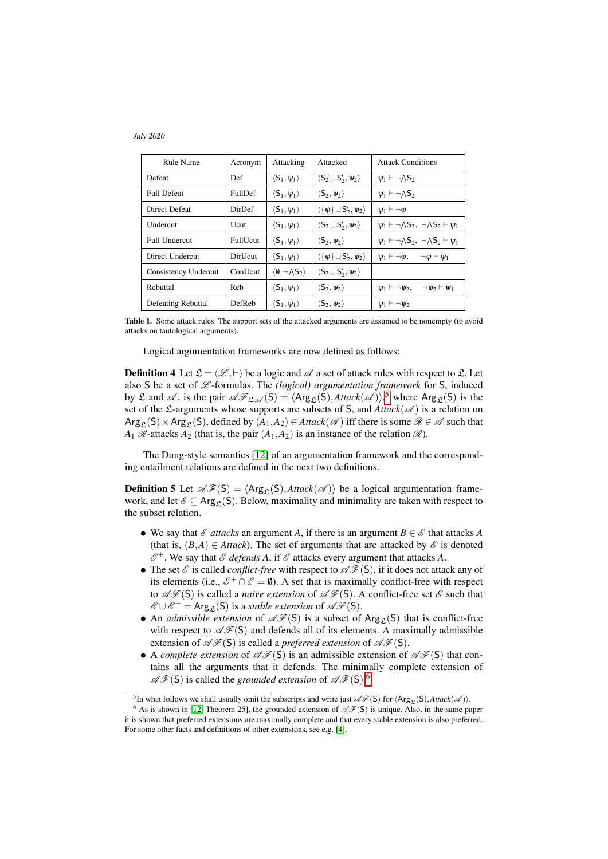| <b>Rule Name</b>     | Acronym         | Attacking                                    | Attacked                                           | <b>Attack Conditions</b>                                          |  |
|----------------------|-----------------|----------------------------------------------|----------------------------------------------------|-------------------------------------------------------------------|--|
| Defeat               | Def             | $\langle S_1,\psi_1\rangle$                  | $\langle S_2 \cup S'_2, \psi_2 \rangle$            | $\psi_1 \vdash \neg \Lambda S_2$                                  |  |
| <b>Full Defeat</b>   | <b>FullDef</b>  | $\langle S_1,\psi_1\rangle$                  | $\langle S_2, \psi_2 \rangle$                      | $\psi_1 \vdash \neg \Lambda S_2$                                  |  |
| <b>Direct Defeat</b> | DirDef          | $\langle S_1, \psi_1 \rangle$                | $\langle {\phi} \rangle \cup S'_2, \psi_2 \rangle$ | $\psi_1 \vdash \neg \varphi$                                      |  |
| Undercut             | Ucut            | $\langle S_1, \psi_1 \rangle$                | $\langle S_2 \cup S'_2, \psi_2 \rangle$            | $\psi_1 \vdash \neg \wedge S_2, \neg \wedge S_2 \vdash \psi_1$    |  |
| Full Undercut        | <b>FullUcut</b> | $\langle S_1, \psi_1 \rangle$                | $\langle S_2, \psi_2 \rangle$                      | $\psi_1 \vdash \neg \wedge S_2$ , $\neg \wedge S_2 \vdash \psi_1$ |  |
| Direct Undercut      | DirUcut         | $\langle S_1, \psi_1 \rangle$                | $\langle {\phi} \rangle \cup S'_2, \psi_2 \rangle$ | $\psi_1 \vdash \neg \varphi, \quad \neg \varphi \vdash \psi_1$    |  |
| Consistency Undercut | ConUcut         | $\langle \emptyset, \neg \wedge S_2 \rangle$ | $\langle S_2 \cup S'_2, \psi_2 \rangle$            |                                                                   |  |
| Rebuttal             | Reb             | $\langle S_1,\psi_1\rangle$                  | $\langle S_2, \psi_2 \rangle$                      | $\psi_1 \vdash \neg \psi_2, \quad \neg \psi_2 \vdash \psi_1$      |  |
| Defeating Rebuttal   | DefReb          | $\langle S_1, \psi_1 \rangle$                | $\langle S_2, \psi_2 \rangle$                      | $\mathbf{y}_1 \vdash \neg \mathbf{y}_2$                           |  |

<span id="page-2-0"></span>Table 1. Some attack rules. The support sets of the attacked arguments are assumed to be nonempty (to avoid attacks on tautological arguments).

Logical argumentation frameworks are now defined as follows:

**Definition 4** Let  $\mathcal{L} = \langle \mathcal{L}, \vdash \rangle$  be a logic and  $\mathcal{A}$  a set of attack rules with respect to  $\mathcal{L}$ . Let also S be a set of  $\mathscr L$ -formulas. The *(logical) argumentation framework* for S, induced by  $\mathfrak L$  and  $\mathscr A$ , is the pair  $\mathscr {AF}_{\mathfrak L, \mathscr A}(\mathsf S) = \langle \mathsf{Arg}_{\mathfrak L}(\mathsf S), \mathsf{Attack}(\mathscr A) \rangle$ ,  $^5$  $^5$  where  $\mathsf{Arg}_{\mathfrak L}(\mathsf S)$  is the set of the L-arguments whose supports are subsets of S, and  $Attack(\mathscr{A})$  is a relation on  $Arg_{\mathcal{P}}(S) \times Arg_{\mathcal{P}}(S)$ , defined by  $(A_1, A_2) \in Attack(\mathcal{A})$  iff there is some  $\mathcal{R} \in \mathcal{A}$  such that  $A_1$   $\mathscr R$ -attacks  $A_2$  (that is, the pair  $(A_1, A_2)$  is an instance of the relation  $\mathscr R$ ).

The Dung-style semantics [\[12\]](#page-11-10) of an argumentation framework and the corresponding entailment relations are defined in the next two definitions.

<span id="page-2-3"></span>**Definition 5** Let  $\mathscr{AF}(S) = \langle \text{Arg}_{\mathcal{P}}(S), \text{Attack}(\mathcal{A}) \rangle$  be a logical argumentation framework, and let  $\mathscr{E} \subset \text{Arg}_{\mathcal{P}}(S)$ . Below, maximality and minimality are taken with respect to the subset relation.

- We say that  $\mathscr E$  *attacks* an argument A, if there is an argument  $B \in \mathscr E$  that attacks A (that is,  $(B,A) \in$  *Attack*). The set of arguments that are attacked by  $\mathscr E$  is denoted  $\mathscr{E}^+$ . We say that  $\mathscr{E}$  *defends A*, if  $\mathscr{E}$  attacks every argument that attacks A.
- The set  $\mathscr E$  is called *conflict-free* with respect to  $\mathscr F(S)$ , if it does not attack any of its elements (i.e.,  $\mathscr{E}^+ \cap \mathscr{E} = \emptyset$ ). A set that is maximally conflict-free with respect to  $\mathscr{AF}(S)$  is called a *naive extension* of  $\mathscr{AF}(S)$ . A conflict-free set  $\mathscr E$  such that  $\mathscr{E} \cup \mathscr{E}^+$  = Arg<sub>c</sub>(S) is a *stable extension* of  $\mathscr{AF}(S)$ .
- An *admissible extension* of  $\mathscr{AF}(S)$  is a subset of Arg<sub>c</sub>(S) that is conflict-free with respect to  $\mathscr{AF}(S)$  and defends all of its elements. A maximally admissible extension of  $\mathscr{AF}(S)$  is called a *preferred extension* of  $\mathscr{AF}(S)$ .
- A *complete extension* of  $\mathscr{AF}(S)$  is an admissible extension of  $\mathscr{AF}(S)$  that contains all the arguments that it defends. The minimally complete extension of  $\mathscr{AF}(S)$  is called the *grounded extension* of  $\mathscr{AF}(S)$ .<sup>[6](#page-2-2)</sup>

<span id="page-2-2"></span><span id="page-2-1"></span><sup>&</sup>lt;sup>5</sup>In what follows we shall usually omit the subscripts and write just  $\mathscr{AF}(S)$  for  $\langle \text{Arg}_{\mathcal{L}}(S), \text{Attack}(\mathcal{A}) \rangle$ .

<sup>&</sup>lt;sup>6</sup> As is shown in [\[12,](#page-11-10) Theorem 25], the grounded extension of  $\mathscr{AF}(S)$  is unique. Also, in the same paper it is shown that preferred extensions are maximally complete and that every stable extension is also preferred. For some other facts and definitions of other extensions, see e.g. [\[4\]](#page-11-11).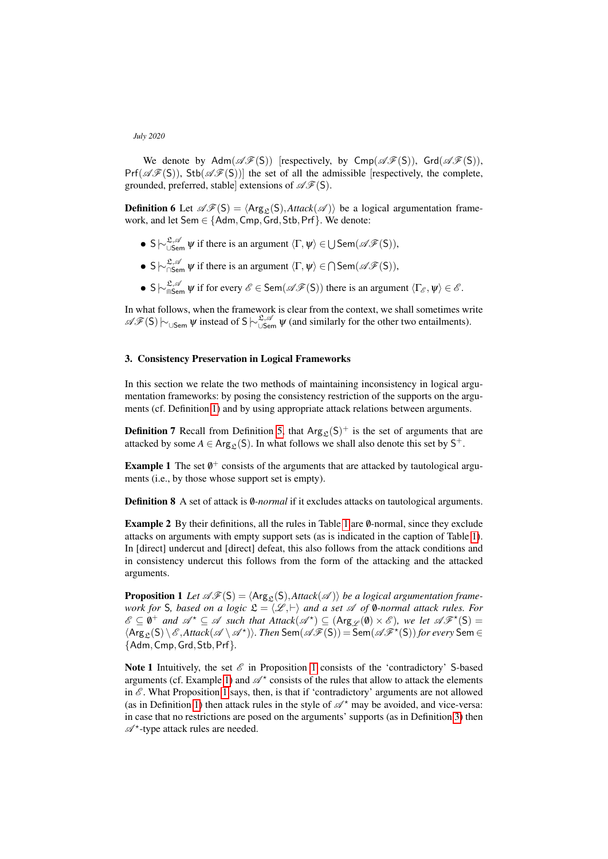We denote by  $Adm(\mathscr{AF}(S))$  [respectively, by  $Cmp(\mathscr{AF}(S))$ ,  $Grd(\mathscr{AF}(S))$ ,  $Pr(\mathscr{A}\mathscr{F}(S))$ ,  $Stb(\mathscr{A}\mathscr{F}(S))$ ] the set of all the admissible [respectively, the complete, grounded, preferred, stable extensions of  $\mathscr{AF}(S)$ .

<span id="page-3-2"></span>**Definition 6** Let  $\mathscr{AF}(S) = \langle \text{Arg}_{\Omega}(S), \text{Attack}(\mathscr{A}) \rangle$  be a logical argumentation framework, and let Sem ∈ {Adm,Cmp,Grd,Stb,Prf}. We denote:

- S  $\sim \sum_{\mathcal{S} \in \mathcal{A}}^{\mathcal{S}, \mathcal{A}} \psi$  if there is an argument  $\langle \Gamma, \psi \rangle \in \bigcup \mathsf{Sem}(\mathcal{AF}(S)),$
- S  $\sim \sum_{\substack{S,\\ \text{cos}}}^{\mathcal{L},\mathcal{A}} \psi$  if there is an argument  $\langle \Gamma, \psi \rangle \in \bigcap \mathsf{Sem}(\mathcal{AF}(S)),$
- S  $\sim \sup_{\mathfrak{m}} \mathfrak{L}^{\mathfrak{L},\mathscr{A}}$   $\psi$  if for every  $\mathscr{E} \in \textsf{Sem}(\mathscr{AF}(S))$  there is an argument  $\langle \Gamma_{\mathscr{E}}, \psi \rangle \in \mathscr{E}$ .

In what follows, when the framework is clear from the context, we shall sometimes write  $\mathscr{AF}(S) \sim_{\cup \text{Sem}} \psi$  instead of S  $\sim_{\cup \text{Sem}}^{\mathfrak{L}, \mathscr{A}} \psi$  (and similarly for the other two entailments).

## 3. Consistency Preservation in Logical Frameworks

In this section we relate the two methods of maintaining inconsistency in logical argumentation frameworks: by posing the consistency restriction of the supports on the arguments (cf. Definition [1\)](#page-0-3) and by using appropriate attack relations between arguments.

**Definition 7** Recall from Definition [5,](#page-2-3) that  $Arg_{\mathcal{L}}(S)^+$  is the set of arguments that are attacked by some  $A \in \text{Arg}_{\mathcal{L}}(S)$ . In what follows we shall also denote this set by  $S^+$ .

<span id="page-3-1"></span>**Example 1** The set  $\emptyset^+$  consists of the arguments that are attacked by tautological arguments (i.e., by those whose support set is empty).

**Definition 8** A set of attack is 0*-normal* if it excludes attacks on tautological arguments.

**Example 2** By their definitions, all the rules in Table [1](#page-2-0) are 0-normal, since they exclude attacks on arguments with empty support sets (as is indicated in the caption of Table [1\)](#page-2-0). In [direct] undercut and [direct] defeat, this also follows from the attack conditions and in consistency undercut this follows from the form of the attacking and the attacked arguments.

<span id="page-3-0"></span>**Proposition 1** Let  $\mathscr{AF}(S) = \langle \text{Arg}_{S}(S), \text{Attack}(\mathscr{A}) \rangle$  *be a logical argumentation framework for* S, based on a logic  $\mathfrak{L} = \langle \mathcal{L}, \vdash \rangle$  and a set  $\mathcal{A}$  of 0-normal attack rules. For  $\mathscr{E} \subseteq \emptyset^+$  and  $\mathscr{A}^\star \subseteq \mathscr{A}$  such that  $\text{Attack}(\mathscr{A}^\star) \subseteq (\text{Arg}_{\mathscr{L}}(\emptyset) \times \mathscr{E})$ , we let  $\mathscr{AF}^\star(\mathsf{S}) =$  $\langle \text{Arg}_{\mathfrak{L}}(\mathsf{S}) \setminus \mathscr{E}, \text{Attack}(\mathscr{A} \setminus \mathscr{A}^{\star})\rangle$ . Then  $\text{Sem}(\mathscr{A}\mathscr{F}(\mathsf{S})) = \text{Sem}(\mathscr{A}\mathscr{F}^{\star}(\mathsf{S}))$  for every  $\text{Sem} \in \mathscr{C}$ {Adm,Cmp,Grd,Stb,Prf}*.*

Note [1](#page-3-0) Intuitively, the set  $\mathscr E$  in Proposition 1 consists of the 'contradictory' S-based arguments (cf. Example [1\)](#page-3-1) and  $\mathscr{A}^*$  consists of the rules that allow to attack the elements in  $\mathscr E$ . What Proposition [1](#page-3-0) says, then, is that if 'contradictory' arguments are not allowed (as in Definition [1\)](#page-0-3) then attack rules in the style of  $\mathscr{A}^*$  may be avoided, and vice-versa: in case that no restrictions are posed on the arguments' supports (as in Definition [3\)](#page-1-1) then  $\mathscr{A}^{\star}$ -type attack rules are needed.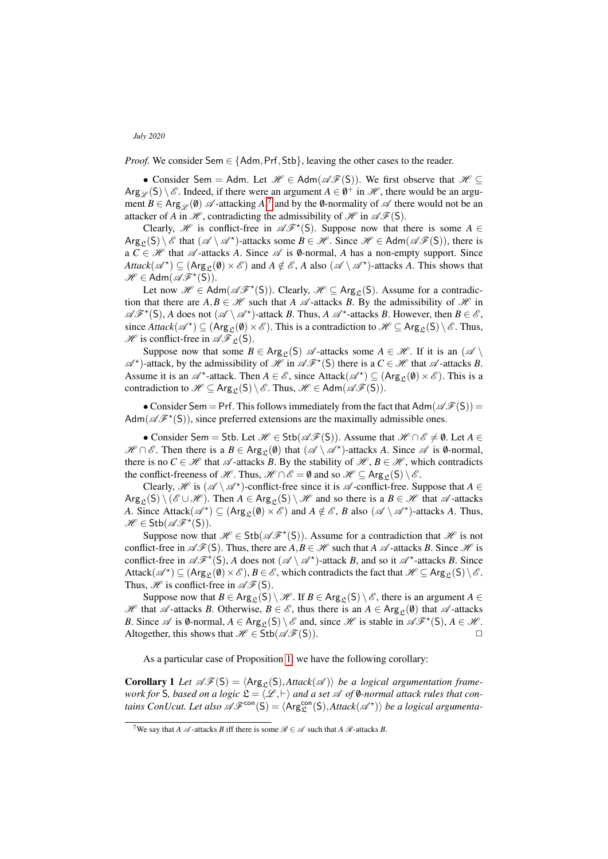*Proof.* We consider Sem  $\in$  {Adm, Prf, Stb}, leaving the other cases to the reader.

• Consider Sem = Adm. Let  $\mathcal{H} \in \text{Adm}(\mathcal{AF}(S))$ . We first observe that  $\mathcal{H} \subseteq$  $\text{Arg}_{\mathscr{L}}(S) \setminus \mathscr{E}$ . Indeed, if there were an argument  $A \in \emptyset^+$  in  $\mathscr{H}$ , there would be an argument  $B \in \text{Arg}_{\mathscr{L}}(\emptyset)$   $\mathscr{A}$ -attacking  $A$ ,<sup>[7](#page-4-0)</sup> and by the  $\emptyset$ -normality of  $\mathscr{A}$  there would not be an attacker of *A* in  $\mathcal{H}$ , contradicting the admissibility of  $\mathcal{H}$  in  $\mathcal{AF}(S)$ .

Clearly,  $\mathscr H$  is conflict-free in  $\mathscr A\mathscr F^\star(S)$ . Suppose now that there is some  $A\in$  $Arg_{\mathcal{L}}(S) \setminus \mathcal{E}$  that  $(\mathcal{A} \setminus \mathcal{A}^*)$ -attacks some  $B \in \mathcal{H}$ . Since  $\mathcal{H} \in Adm(\mathcal{AF}(S))$ , there is a  $C \in \mathcal{H}$  that  $\mathcal{A}$ -attacks *A*. Since  $\mathcal{A}$  is  $\emptyset$ -normal, *A* has a non-empty support. Since  $\textit{Attack}(\mathscr{A}^{\star}) \subseteq (\text{Arg}_{\mathcal{L}}(\emptyset) \times \mathscr{E})$  and  $A \notin \mathscr{E}$ , *A* also  $(\mathscr{A} \setminus \mathscr{A}^{\star})$ -attacks *A*. This shows that  $\mathscr{H} \in \text{Adm}(\mathscr{AF}^{\star}(\mathsf{S})).$ 

Let now  $\mathscr{H} \in \text{Adm}(\mathscr{AF}^{\star}(S))$ . Clearly,  $\mathscr{H} \subseteq \text{Arg}_{\mathfrak{L}}(S)$ . Assume for a contradiction that there are  $A, B \in \mathcal{H}$  such that *A*  $\mathcal{A}$ -attacks *B*. By the admissibility of  $\mathcal{H}$  in  $\mathscr{AF}^{\star}(S)$ , *A* does not  $(\mathscr{A} \setminus \mathscr{A}^{\star})$ -attack *B*. Thus, *A*  $\mathscr{A}^{\star}$ -attacks *B*. However, then  $B \in \mathscr{E}$ , since  $\text{Attack}(\mathscr{A}^{\star}) \subseteq (\text{Arg}_{\mathfrak{L}}(\emptyset) \times \mathscr{E})$ . This is a contradiction to  $\mathscr{H} \subseteq \text{Arg}_{\mathfrak{L}}(S) \setminus \mathscr{E}$ . Thus,  $\mathcal{H}$  is conflict-free in  $\mathcal{AF}_{\mathfrak{L}}(S)$ .

Suppose now that some  $B \in \text{Arg}_{\Omega}(S)$   $\mathscr A$ -attacks some  $A \in \mathscr H$ . If it is an  $(\mathscr A \setminus$  $\mathscr{A}^*$ )-attack, by the admissibility of  $\mathscr{H}$  in  $\mathscr{AF}^*(S)$  there is a  $C \in \mathscr{H}$  that  $\mathscr{A}$ -attacks *B*. Assume it is an  $\mathscr{A}^*$ -attack. Then  $A \in \mathscr{E}$ , since Attack $(\mathscr{A}^*) \subseteq (\text{Arg}_{\mathfrak{L}}(\emptyset) \times \mathscr{E})$ . This is a contradiction to  $\mathcal{H} \subseteq \text{Arg}_{\mathcal{C}}(S) \setminus \mathcal{E}$ . Thus,  $\mathcal{H} \in \text{Adm}(\mathcal{AF}(S))$ .

• Consider Sem = Prf. This follows immediately from the fact that  $Adm(\mathscr{A}\mathscr{F}(S))$  = Adm( $\mathscr{AF}^{\star}(S)$ ), since preferred extensions are the maximally admissible ones.

• Consider Sem = Stb. Let  $\mathcal{H} \in$  Stb( $\mathcal{AF}(S)$ ). Assume that  $\mathcal{H} \cap \mathcal{E} \neq \emptyset$ . Let  $A \in$  $\mathscr{H} \cap \mathscr{E}$ . Then there is a *B* ∈ Arg<sub>L</sub>(0) that  $(\mathscr{A} \setminus \mathscr{A}^*)$ -attacks *A*. Since  $\mathscr{A}$  is 0-normal, there is no  $C \in \mathcal{H}$  that  $\mathcal{A}$ -attacks *B*. By the stability of  $\mathcal{H}, B \in \mathcal{H}$ , which contradicts the conflict-freeness of  $\mathcal{H}$ . Thus,  $\mathcal{H} \cap \mathcal{E} = \emptyset$  and so  $\mathcal{H} \subseteq \text{Arg}_{\mathcal{L}}(S) \setminus \mathcal{E}$ .

Clearly, H is  $(A \setminus A^*)$ -conflict-free since it is A -conflict-free. Suppose that  $A \in$  $Arg_{\mathcal{L}}(S) \setminus (\mathcal{E} \cup \mathcal{H})$ . Then  $A \in Arg_{\mathcal{L}}(S) \setminus \mathcal{H}$  and so there is a  $B \in \mathcal{H}$  that  $\mathcal{A}$ -attacks *A*. Since Attack $(\mathscr{A}^{\star}) \subseteq (\text{Arg}_{\mathfrak{L}}(\emptyset) \times \mathscr{E})$  and  $A \notin \mathscr{E}$ , *B* also  $(\mathscr{A} \setminus \mathscr{A}^{\star})$ -attacks *A*. Thus,  $\mathscr{H} \in \mathsf{Stb}(\mathscr{AF}^\star(\mathsf{S})).$ 

Suppose now that  $\mathcal{H} \in \mathsf{Stb}(\mathcal{AF}^{\star}(S))$ . Assume for a contradiction that  $\mathcal{H}$  is not conflict-free in  $\mathscr{AF}(S)$ . Thus, there are  $A, B \in \mathscr{H}$  such that  $A \mathscr{A}$ -attacks *B*. Since  $\mathscr{H}$  is conflict-free in  $\mathscr{AF}^{\star}(S)$ , *A* does not  $(\mathscr{A} \setminus \mathscr{A}^{\star})$ -attack *B*, and so it  $\mathscr{A}^{\star}$ -attacks *B*. Since Attack $(\mathscr{A}^{\star}) \subseteq (Arg_{\mathfrak{L}}(\emptyset) \times \mathscr{E}), B \in \mathscr{E}$ , which contradicts the fact that  $\mathscr{H} \subseteq Arg_{\mathfrak{L}}(S) \setminus \mathscr{E}$ . Thus,  $\mathcal{H}$  is conflict-free in  $\mathcal{AF}(S)$ .

Suppose now that *B* ∈ Arg<sub>c</sub>(S) \  $H$ . If *B* ∈ Arg<sub>c</sub>(S) \  $\mathscr E$ , there is an argument *A* ∈ H that  $\mathscr A$ -attacks *B*. Otherwise,  $B \in \mathscr E$ , thus there is an  $A \in \mathsf{Arg}_{\mathcal P}(\emptyset)$  that  $\mathscr A$ -attacks *B*. Since  $\mathscr A$  is  $\emptyset$ -normal,  $A \in \text{Arg}_{\mathfrak L}(S) \setminus \mathscr E$  and, since  $\mathscr H$  is stable in  $\mathscr A \mathscr F^\star(S)$ ,  $A \in \mathscr H$ . Altogether, this shows that  $\mathcal{H} \in \text{Stb}(\mathcal{AF}(S)).$ 

As a particular case of Proposition [1,](#page-3-0) we have the following corollary:

<span id="page-4-1"></span>**Corollary 1** Let  $\mathscr{AF}(S) = \langle \text{Arg}_{\mathfrak{L}}(S), \text{Attack}(\mathscr{A}) \rangle$  *be a logical argumentation framework for* S, based on a logic  $\mathfrak{L} = \langle \mathcal{L}, \vdash \rangle$  and a set  $\mathcal{A}$  of 0-normal attack rules that con*tains ConUcut. Let also*  $\mathscr{AF}^{con}(S) = \langle Arg_{\mathfrak{L}}^{con}(S), Attack(\mathscr{A}^{\star})\rangle$  *be a logical argumenta-*

<span id="page-4-0"></span><sup>&</sup>lt;sup>7</sup>We say that *A*  $\mathscr A$ -attacks *B* iff there is some  $\mathscr R \in \mathscr A$  such that *A*  $\mathscr R$ -attacks *B*.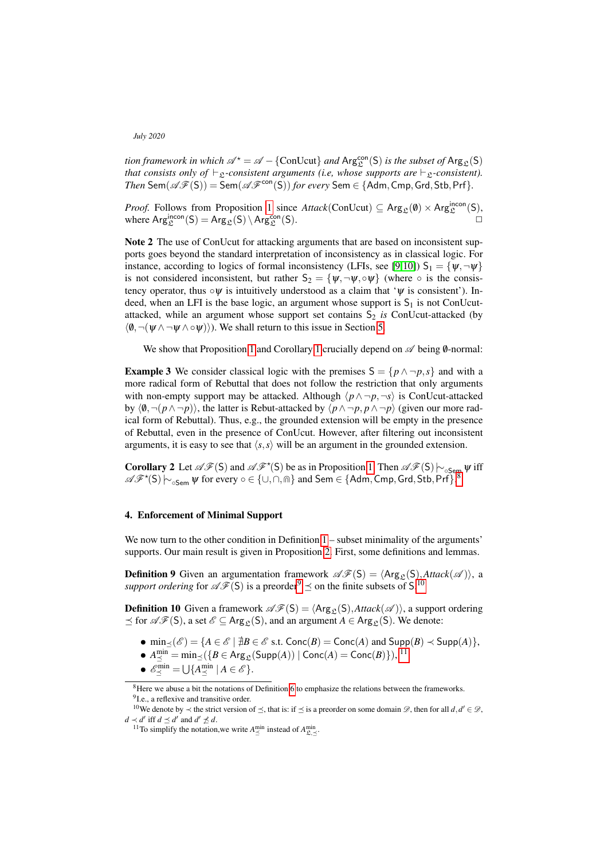*tion framework in which*  $\mathscr{A}^{\star} = \mathscr{A} - \{\text{ConUcut}\}\$ and  $\text{Arg}_{\mathfrak{L}}^{\text{con}}(\mathsf{S})$  *is the subset of*  $\text{Arg}_{\mathfrak{L}}(\mathsf{S})$ *that consists only of*  $\vdash_{\mathfrak{L}}$ -consistent arguments (i.e, whose supports are  $\vdash_{\mathfrak{L}}$ -consistent).  $Then \text{ Sem}(\mathscr{AF}(S)) = \text{Sem}(\mathscr{AF}^{\text{con}}(S))$  *for every*  $\text{Sem} \in \{\text{Adm}, \text{Cmp}, \text{Grd}, \text{Stb}, \text{Prf}\}.$ 

*Proof.* Follows from Proposition [1](#page-3-0) since  $Attack(ConUcut) \subseteq \text{Arg}_{\mathcal{L}}(\emptyset) \times \text{Arg}_{\mathcal{L}}^{\text{incon}}(S)$ , where  $\text{Arg}_{\mathfrak{L}}^{\text{incon}}(\mathsf{S}) = \text{Arg}_{\mathfrak{L}}(\mathsf{S}) \setminus \text{Arg}_{\mathfrak{L}}^{\text{con}}(\mathsf{S}).$ 

<span id="page-5-5"></span>Note 2 The use of ConUcut for attacking arguments that are based on inconsistent supports goes beyond the standard interpretation of inconsistency as in classical logic. For instance, according to logics of formal inconsistency (LFIs, see [\[9,](#page-11-12)[10\]](#page-11-13))  $S_1 = \{ \psi, \neg \psi \}$ is not considered inconsistent, but rather  $S_2 = {\psi, \neg \psi, \neg \psi}$  (where  $\circ$  is the consistency operator, thus  $\circ \psi$  is intuitively understood as a claim that ' $\psi$  is consistent'). Indeed, when an LFI is the base logic, an argument whose support is  $S_1$  is not ConUcutattacked, while an argument whose support set contains  $S_2$  *is* ConUcut-attacked (by  $\langle \emptyset, \neg(\psi \wedge \neg \psi \wedge \neg \psi) \rangle$ ). We shall return to this issue in Section [5.](#page-8-0)

We show that Proposition [1](#page-4-1) and Corollary 1 crucially depend on  $\mathscr A$  being  $\emptyset$ -normal:

**Example 3** We consider classical logic with the premises  $S = \{p \land \neg p, s\}$  and with a more radical form of Rebuttal that does not follow the restriction that only arguments with non-empty support may be attacked. Although  $\langle p \wedge \neg p, \neg s \rangle$  is ConUcut-attacked by  $\langle \emptyset, \neg(p \wedge \neg p) \rangle$ , the latter is Rebut-attacked by  $\langle p \wedge \neg p, p \wedge \neg p \rangle$  (given our more radical form of Rebuttal). Thus, e.g., the grounded extension will be empty in the presence of Rebuttal, even in the presence of ConUcut. However, after filtering out inconsistent arguments, it is easy to see that  $\langle s, s \rangle$  will be an argument in the grounded extension.

<span id="page-5-4"></span>**Corollary 2** Let  $\mathscr{AF}(S)$  and  $\mathscr{AF}(S)$  be as in Proposition [1.](#page-3-0) Then  $\mathscr{AF}(S) \vdash_{\circ \mathsf{Sem}} \psi$  iff  $\mathscr{AF}(S) \vdash_{\circ} \psi$  with  $\mathscr{AF}(S) \vdash_{\circ} \psi$  for every  $\circ \in \{1 \mid \circ \circ \circ \psi\}$  and Sem  $\in \{Adm \text{ } Cm \text{ } Grd \text{ } Sth \text{ } Prf \}$  $\mathscr{AF}^{\star}(S) \sim_{\circ \mathsf{Sem}} \psi$  for every  $\circ \in \{\cup, \cap, \text{fin}\}$  and  $\mathsf{Sem} \in \{\mathsf{Adm}, \mathsf{Cmp}, \mathsf{Grd}, \mathsf{Stb}, \mathsf{Prf}\}.$ 

## 4. Enforcement of Minimal Support

We now turn to the other condition in Definition  $1 -$  subset minimality of the arguments' supports. Our main result is given in Proposition [2.](#page-7-0) First, some definitions and lemmas.

**Definition 9** Given an argumentation framework  $\mathscr{AF}(S) = \langle \text{Arg}_{\mathfrak{L}}(S), \text{Attack}(\mathscr{A}) \rangle$ , a *support ordering* for  $\mathscr{AF}(S)$  is a preorder<sup>[9](#page-5-1)</sup>  $\preceq$  on the finite subsets of S.<sup>[10](#page-5-2)</sup>

**Definition 10** Given a framework  $\mathscr{AF}(S) = \langle \text{Arg}_{\alpha}(S), \text{Attack}(\mathscr{A}) \rangle$ , a support ordering  $f \preceq$  for  $\mathscr{AF}(S)$ , a set  $\mathscr{E} \subseteq \text{Arg}_{\mathfrak{L}}(S)$ , and an argument  $A \in \text{Arg}_{\mathfrak{L}}(S)$ . We denote:

- $\min_{\leq}(\mathscr{E}) = \{A \in \mathscr{E} \mid \nexists B \in \mathscr{E} \text{ s.t. } \text{Conc}(B) = \text{Conc}(A) \text{ and } \text{Supp}(B) \prec \text{Supp}(A)\},\$
- $\bullet$   $A_{\preceq}^{\min} = \min_{\preceq} (\{B \in \text{Arg}_{\mathfrak{L}}(\text{Supp}(A)) | \text{Conc}(A) = \text{Conc}(B)\}),$ <sup>[11](#page-5-3)</sup>
- $\mathscr{E}^{\min}_{\preceq} = \bigcup \{ A^{\min}_{\preceq} \mid A \in \mathscr{E} \}.$

<span id="page-5-1"></span><span id="page-5-0"></span> ${}^{8}$ Here we abuse a bit the notations of Definition [6](#page-3-2) to emphasize the relations between the frameworks. <sup>9</sup>I.e., a reflexive and transitive order.

<span id="page-5-2"></span><sup>&</sup>lt;sup>10</sup>We denote by  $\prec$  the strict version of  $\preceq$ , that is: if  $\preceq$  is a preorder on some domain  $\mathscr{D}$ , then for all *d*, *d'* ∈  $\mathscr{D}$ , *d* ≺ *d'* iff *d*  $\le$  *d'* and *d'*  $\nleq$  *d*.

<span id="page-5-3"></span><sup>&</sup>lt;sup>11</sup>To simplify the notation, we write  $A_{\leq}^{\min}$  instead of  $A_{\mathfrak{L},\leq}^{\min}$ .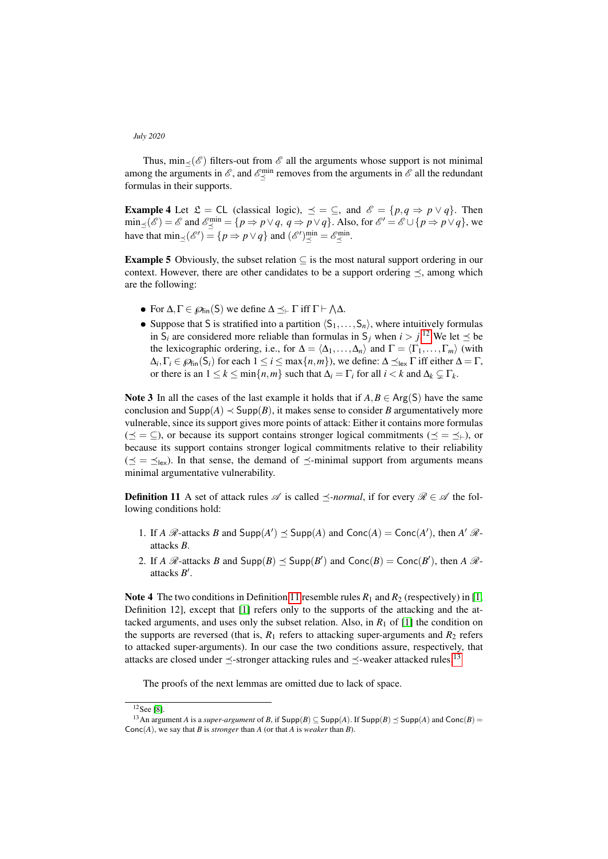Thus,  $\min_{\leq}(\mathscr{E})$  filters-out from  $\mathscr{E}$  all the arguments whose support is not minimal among the arguments in  $\mathscr{E}$ , and  $\mathscr{E}^{\min}_{\leq}$  removes from the arguments in  $\mathscr{E}$  all the redundant formulas in their supports.

**Example 4** Let  $\mathfrak{L} = \mathfrak{CL}$  (classical logic),  $\preceq = \subseteq$ , and  $\mathscr{E} = \{p, q \Rightarrow p \lor q\}$ . Then  $\min_{\leq} (\mathscr{E}) = \mathscr{E}$  and  $\mathscr{E}^{\min}_{\leq} = \{ p \Rightarrow p \lor q, q \Rightarrow p \lor q \}.$  Also, for  $\mathscr{E}' = \mathscr{E} \cup \{ p \Rightarrow p \lor q \}$ , we have that  $\min_{\leq} (\mathscr{E}') = \{p \Rightarrow p \vee q\}$  and  $(\mathscr{E}')^{\min}_{\leq} = \mathscr{E}^{\min}_{\leq}$ .

**Example 5** Obviously, the subset relation  $\subseteq$  is the most natural support ordering in our context. However, there are other candidates to be a support ordering  $\preceq$ , among which are the following:

- For  $\Delta, \Gamma \in \mathcal{D}_{fin}(S)$  we define  $\Delta \preceq_{\vdash} \Gamma$  iff  $\Gamma \vdash \Lambda \Delta$ .
- Suppose that S is stratified into a partition  $\langle S_1, \ldots, S_n \rangle$ , where intuitively formulas in S<sub>*i*</sub> are considered more reliable than formulas in S<sub>*j*</sub> when  $i > j$ .<sup>[12](#page-6-0)</sup> We let  $\preceq$  be the lexicographic ordering, i.e., for  $\Delta = \langle \Delta_1, \ldots, \Delta_n \rangle$  and  $\Gamma = \langle \Gamma_1, \ldots, \Gamma_m \rangle$  (with  $\Delta_i, \Gamma_i \in \mathcal{P}_{fin}(S_i)$  for each  $1 \leq i \leq max\{n,m\}$ ), we define:  $\Delta \preceq_{lex} \Gamma$  iff either  $\Delta = \Gamma$ , or there is an  $1 \leq k \leq \min\{n,m\}$  such that  $\Delta_i = \Gamma_i$  for all  $i < k$  and  $\Delta_k \subsetneq \Gamma_k$ .

Note 3 In all the cases of the last example it holds that if  $A, B \in \text{Arg}(S)$  have the same conclusion and  $\text{Supp}(A) \prec \text{Supp}(B)$ , it makes sense to consider *B* argumentatively more vulnerable, since its support gives more points of attack: Either it contains more formulas  $(\preceq = \subseteq)$ , or because its support contains stronger logical commitments  $(\preceq = \preceq_{\vdash})$ , or because its support contains stronger logical commitments relative to their reliability  $(\preceq = \preceq_{\text{lex}})$ . In that sense, the demand of  $\preceq$ -minimal support from arguments means minimal argumentative vulnerability.

<span id="page-6-1"></span>**Definition 11** A set of attack rules  $\mathscr A$  is called  $\preceq$ -normal, if for every  $\mathscr R \in \mathscr A$  the following conditions hold:

- 1. If *A*  $\mathcal{R}$ -attacks *B* and  $\text{Supp}(A') \leq \text{Supp}(A)$  and  $\text{Conc}(A) = \text{Conc}(A')$ , then *A'*  $\mathcal{R}$ attacks *B*.
- 2. If *A*  $\mathcal{R}$ -attacks *B* and  $\text{Supp}(B) \preceq \text{Supp}(B')$  and  $\text{Conc}(B) = \text{Conc}(B')$ , then *A*  $\mathcal{R}$ attacks *B'*.

**Note 4** The two conditions in Definition [11](#page-6-1) resemble rules  $R_1$  and  $R_2$  (respectively) in [\[1,](#page-11-14) Definition 12], except that [\[1\]](#page-11-14) refers only to the supports of the attacking and the attacked arguments, and uses only the subset relation. Also, in  $R_1$  of [\[1\]](#page-11-14) the condition on the supports are reversed (that is,  $R_1$  refers to attacking super-arguments and  $R_2$  refers to attacked super-arguments). In our case the two conditions assure, respectively, that attacks are closed under  $\preceq$ -stronger attacking rules and  $\preceq$ -weaker attacked rules.<sup>[13](#page-6-2)</sup>

The proofs of the next lemmas are omitted due to lack of space.

<span id="page-6-3"></span><span id="page-6-0"></span> $12$ See [\[8\]](#page-11-15).

<span id="page-6-2"></span><sup>&</sup>lt;sup>13</sup>An argument *A* is a *super-argument* of *B*, if  $Supp(B) \subseteq Supp(A)$ . If  $Supp(B) \preceq Supp(A)$  and  $Conc(B) =$ Conc(*A*), we say that *B* is *stronger* than *A* (or that *A* is *weaker* than *B*).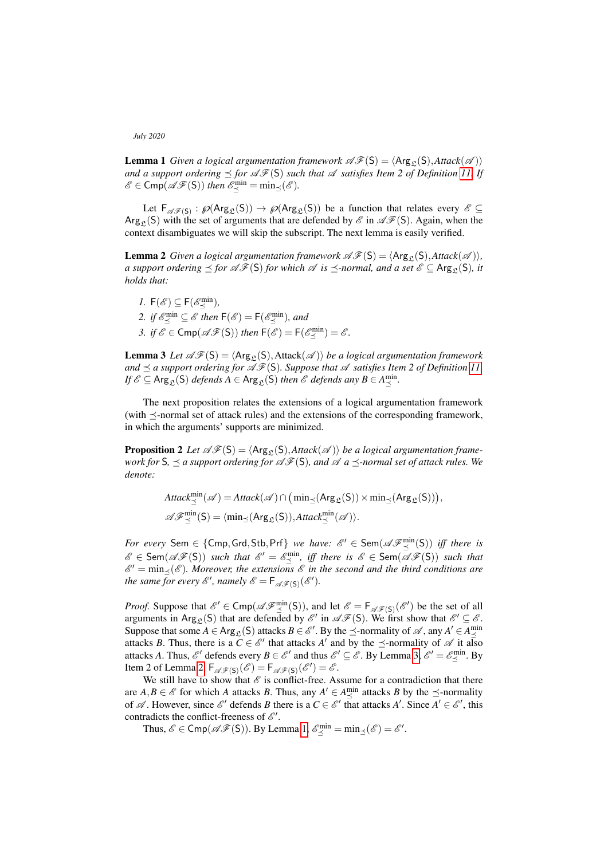**Lemma 1** *Given a logical argumentation framework*  $\mathscr{AF}(S) = \langle \text{Arg}_{\mathfrak{L}}(S), \text{Attack}(\mathscr{A}) \rangle$ *and a support ordering*  $\leq$  *for*  $\mathscr{AF}(S)$  *such that*  $\mathscr A$  *satisfies Item 2 of Definition [11.](#page-6-1) If*  $\mathscr{E} \in \mathsf{Cmp}(\mathscr{AF}(\mathsf{S}))$  then  $\mathscr{E}^{\min}_{\preceq} = \min_{\preceq}(\mathscr{E})$ .

Let  $\mathsf{F}_{\mathscr{A}\mathscr{F}(S)}:\mathscr{P}(\mathsf{Arg}_{\mathfrak{L}}(S))\to\mathscr{P}(\mathsf{Arg}_{\mathfrak{L}}(S))$  be a function that relates every  $\mathscr{E}\subseteq$ Arg<sub>c</sub>(S) with the set of arguments that are defended by  $\mathscr E$  in  $\mathscr A\mathscr F(S)$ . Again, when the context disambiguates we will skip the subscript. The next lemma is easily verified.

<span id="page-7-2"></span>**Lemma 2** *Given a logical argumentation framework*  $\mathscr{AF}(S) = \langle \text{Arg}_{\mathcal{E}}(S), \text{Attack}(\mathcal{A}) \rangle$ *, a support ordering*  $\leq$  *for*  $\mathscr{AF}(S)$  *for which*  $\mathscr A$  *is*  $\leq$ -*normal, and a set*  $\mathscr E$  ⊆ Arg<sub>S</sub>(S)*, it holds that:*

*1.*  $F(\mathscr{E}) \subseteq F(\mathscr{E}_{\preceq}^{\min}),$ 2. *if*  $\mathscr{E}^{\min}_{\leq} \subseteq \mathscr{E}$  then  $\mathsf{F}(\mathscr{E}) = \mathsf{F}(\mathscr{E}^{\min}_{\leq})$ , and 3. *if*  $\mathscr{E} \in \text{Cmp}(\mathscr{A}\mathscr{F}(S))$  *then*  $\mathsf{F}(\mathscr{E}) = \mathsf{F}(\mathscr{E}_\preceq^{\min}) = \mathscr{E}$ .

<span id="page-7-1"></span>**Lemma 3** Let  $\mathscr{AF}(S) = \langle \text{Arg}_{\mathfrak{L}}(S), \text{Attack}(\mathscr{A}) \rangle$  *be a logical argumentation framework* and  $\preceq$  a support ordering for  $\mathscr{AF}(S)$ *. Suppose that*  $\mathscr A$  *satisfies Item 2 of Definition [11.](#page-6-1)*  $\mathit{If } \mathscr{E} \subseteq \mathsf{Arg}_{\mathfrak{L}}(\mathsf{S}) \textit{ depends } A \in \mathsf{Arg}_{\mathfrak{L}}(\mathsf{S}) \textit{ then } \mathscr{E} \textit{ depends any } B \in A^{\min}_{\preceq}.$ 

The next proposition relates the extensions of a logical argumentation framework (with  $\preceq$ -normal set of attack rules) and the extensions of the corresponding framework, in which the arguments' supports are minimized.

<span id="page-7-0"></span>**Proposition 2** Let  $\mathscr{AF}(S) = \langle \text{Arg}_{\mathfrak{L}}(S), \text{Attack}(\mathscr{A}) \rangle$  be a logical argumentation frame*work for*  $S$ *,*  $\preceq$  *a support ordering for*  $\mathscr{AF}(S)$ *, and*  $\mathscr{A}$  *a*  $\preceq$ *-normal set of attack rules. We denote:*

$$
\begin{aligned} &\text{Attack}^{\min}_{\preceq}(\mathscr{A}) = \text{Attack}(\mathscr{A}) \cap \big(\min_{\preceq}(\text{Arg}_{\mathfrak{L}}(S)) \times \min_{\preceq}(\text{Arg}_{\mathfrak{L}}(S))\big),\\ &\mathscr{A}\mathscr{F}^{\min}_{\preceq}(S) = \langle \min_{\preceq}(\text{Arg}_{\mathfrak{L}}(S)), \text{Attack}^{\min}_{\preceq}(\mathscr{A})\rangle.\end{aligned}
$$

 $For\ every\ \mathsf{Sem} \in \{\mathsf{Cmp},\mathsf{Grd},\mathsf{Stb},\mathsf{Prf}\}\ \ we\ \ \mathit{have:}\ \ \mathscr{E}'\in \mathsf{Sem}(\mathscr{AF}^{\min}_{\preceq}(\mathsf{S}))\ \ \mathit{iff\ there\ is}\$  $\mathscr{E} \in \textsf{Sem}(\mathscr{AF}(S))$  such that  $\mathscr{E}' = \mathscr{E}^{\text{min}}_{\preceq}$ , iff there is  $\mathscr{E} \in \textsf{Sem}(\mathscr{AF}(S))$  such that  $\mathscr{E}' = \min_{\preceq} (\mathscr{E})$ . Moreover, the extensions  $\mathscr{E}$  in the second and the third conditions are *the same for every*  $\mathscr{E}'$ , namely  $\mathscr{E} = \mathsf{F}_{\mathscr{A}\mathscr{F}(S)}(\mathscr{E}')$ .

*Proof.* Suppose that  $\mathscr{E}' \in \text{Cmp}(\mathscr{AF}_{\preceq}^{\min}(S))$ , and let  $\mathscr{E} = \mathsf{F}_{\mathscr{A}\mathscr{F}(S)}(\mathscr{E}')$  be the set of all arguments in Arg<sub>c</sub>(S) that are defended by  $\mathscr{E}'$  in  $\mathscr{AF}(S)$ . We first show that  $\mathscr{E}' \subseteq \mathscr{E}$ . Suppose that some  $A \in \text{Arg}_{\mathcal{L}}(S)$  attacks  $B \in \mathcal{E}'$ . By the  $\preceq$ -normality of  $\mathcal{A}$ , any  $A' \in A_{\preceq}^{\min}$ attacks *B*. Thus, there is a  $C \in \mathcal{E}'$  that attacks *A'* and by the  $\preceq$ -normality of  $\mathcal{A}$  it also attacks *A*. Thus,  $\mathscr{E}'$  defends every  $B \in \mathscr{E}'$  and thus  $\mathscr{E}' \subseteq \mathscr{E}$ . By Lemma [3,](#page-7-1)  $\mathscr{E}' = \mathscr{E}^{\min}_{\preceq}$ . By Item 2 of Lemma [2,](#page-7-2)  $F_{\mathscr{A}\mathscr{F}(S)}(\mathscr{E}) = F_{\mathscr{A}\mathscr{F}(S)}(\mathscr{E}') = \mathscr{E}.$ 

We still have to show that  $\mathscr E$  is conflict-free. Assume for a contradiction that there are  $A, B \in \mathscr{E}$  for which *A* attacks *B*. Thus, any  $A' \in A_{\preceq}^{\min}$  attacks *B* by the  $\preceq$ -normality of  $\mathscr A$ . However, since  $\mathscr E'$  defends *B* there is a  $C \in \mathscr E'$  that attacks  $A'$ . Since  $A' \in \mathscr E'$ , this contradicts the conflict-freeness of  $\mathcal{E}'$ .

Thus,  $\mathscr{E} \in \text{Cmp}(\mathscr{A}\mathscr{F}(S))$ . By Lemma [1,](#page-6-3)  $\mathscr{E}_{\preceq}^{\text{min}} = \min_{\preceq}(\mathscr{E}) = \mathscr{E}'$ .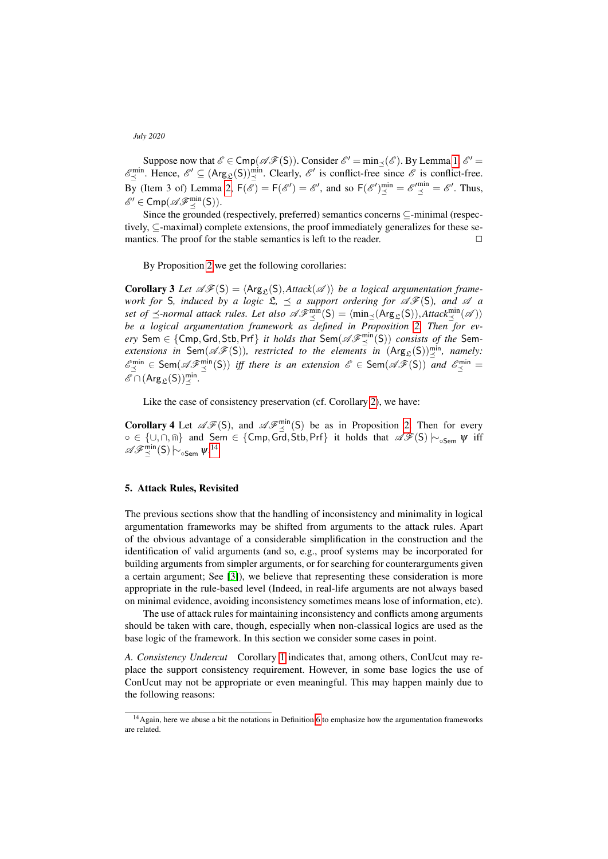Suppose now that  $\mathscr{E} \in \text{Cmp}(\mathscr{A}\mathscr{F}(S))$ . Consider  $\mathscr{E}' = \min_{\preceq} (\mathscr{E})$ . By Lemma [1,](#page-6-3)  $\mathscr{E}' =$  $\mathscr{E}^{\min}_{\leq}$ . Hence,  $\mathscr{E}' \subseteq (\text{Arg}_{\mathfrak{L}}(\mathsf{S}))^{\min}_{\leq}$ . Clearly,  $\mathscr{E}'$  is conflict-free since  $\mathscr{E}$  is conflict-free. By (Item 3 of) Lemma [2,](#page-7-2)  $F(\mathscr{E}) = F(\mathscr{E}') = \mathscr{E}'$ , and so  $F(\mathscr{E}')^{\min}_{\preceq} = \mathscr{E}'^{\min}_{\preceq} = \mathscr{E}'$ . Thus,  $\mathscr{E}' \in \mathsf{Cmp}(\mathscr{AF}^{\min}_{\preceq}(S)).$ 

Since the grounded (respectively, preferred) semantics concerns ⊆-minimal (respectively, ⊆-maximal) complete extensions, the proof immediately generalizes for these semantics. The proof for the stable semantics is left to the reader.  $\Box$ 

By Proposition [2](#page-7-0) we get the following corollaries:

**Corollary 3** Let  $\mathscr{AF}(S) = \langle \text{Arg}_{S}(S), \text{Attack}(\mathscr{A}) \rangle$  be a logical argumentation frame*work for* S*, induced by a logic*  $\mathfrak{L}$ ,  $\preceq$  *a support ordering for*  $\mathscr{AF}(S)$ *, and*  $\mathscr A$  *a* set of  $\preceq$ -normal attack rules. Let also  $\mathscr{AF}_{\preceq}^{\min}(\mathsf{S}) = \langle \min_{\preceq}(\mathsf{Arg}_{\mathfrak{L}}(\mathsf{S})), \mathsf{Attack}_{\preceq}^{\min}(\mathscr{A})\rangle$ *be a logical argumentation framework as defined in Proposition [2.](#page-7-0) Then for ev* $e$ ry Sem  $\in$  {Cmp, Grd, Stb, Prf} *it holds that* Sem( $\mathscr{AF}_{\preceq}^{\min}(S)$ ) *consists of the* Sem*extensions in* Sem $(\mathscr{AF}(S))$ , restricted to the elements in  $(Arg_{\mathfrak{L}}(S))_{\preceq}^{min}$ , namely:  $\mathscr{E}^{\min}_{\leq} \in \textsf{Sem}(\mathscr{AF}^{\min}_{\leq}(S))$  *iff there is an extension*  $\mathscr{E} \in \textsf{Sem}(\mathscr{AF}(S))$  *and*  $\mathscr{E}^{\min}_{\leq}$  $\mathscr{E} \cap (\mathsf{Arg}_{\mathfrak{L}}(\mathsf{S}))_{\preceq}^{\min}$ .

Like the case of consistency preservation (cf. Corollary [2\)](#page-5-4), we have:

**Corollary 4** Let  $\mathscr{AF}(S)$ , and  $\mathscr{AF}_{\preceq}^{\min}(S)$  be as in Proposition [2.](#page-7-0) Then for every o ∈ {∪,∩,m} and Sem ∈ {Cmp, Grd, Stb, Prf} it holds that  $\mathscr{AF}(S) \hspace{0.2em}\sim_{\circ}$  Sem  $\psi$  iff  $\mathscr{AF}^{\min}_{\preceq}(\mathsf{S})\hspace{0.03cm}\sim_{\circ \mathsf{Sem}}\mathsf{w}.^{14}$  $\mathscr{AF}^{\min}_{\preceq}(\mathsf{S})\hspace{0.03cm}\sim_{\circ \mathsf{Sem}}\mathsf{w}.^{14}$  $\mathscr{AF}^{\min}_{\preceq}(\mathsf{S})\hspace{0.03cm}\sim_{\circ \mathsf{Sem}}\mathsf{w}.^{14}$ 

## <span id="page-8-0"></span>5. Attack Rules, Revisited

The previous sections show that the handling of inconsistency and minimality in logical argumentation frameworks may be shifted from arguments to the attack rules. Apart of the obvious advantage of a considerable simplification in the construction and the identification of valid arguments (and so, e.g., proof systems may be incorporated for building arguments from simpler arguments, or for searching for counterarguments given a certain argument; See [\[3\]](#page-11-1)), we believe that representing these consideration is more appropriate in the rule-based level (Indeed, in real-life arguments are not always based on minimal evidence, avoiding inconsistency sometimes means lose of information, etc).

The use of attack rules for maintaining inconsistency and conflicts among arguments should be taken with care, though, especially when non-classical logics are used as the base logic of the framework. In this section we consider some cases in point.

*A. Consistency Undercut* Corollary [1](#page-4-1) indicates that, among others, ConUcut may replace the support consistency requirement. However, in some base logics the use of ConUcut may not be appropriate or even meaningful. This may happen mainly due to the following reasons:

<span id="page-8-1"></span><sup>&</sup>lt;sup>14</sup> Again, here we abuse a bit the notations in Definition [6](#page-3-2) to emphasize how the argumentation frameworks are related.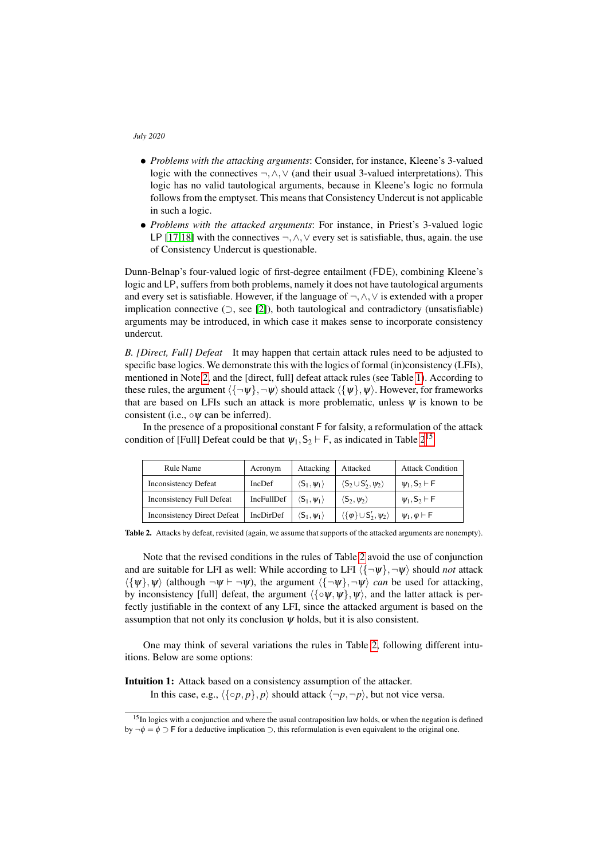- *Problems with the attacking arguments*: Consider, for instance, Kleene's 3-valued logic with the connectives ¬,∧,∨ (and their usual 3-valued interpretations). This logic has no valid tautological arguments, because in Kleene's logic no formula follows from the emptyset. This means that Consistency Undercut is not applicable in such a logic.
- *Problems with the attacked arguments*: For instance, in Priest's 3-valued logic LP [\[17,](#page-11-16)[18\]](#page-11-17) with the connectives  $\neg, \wedge, \vee$  every set is satisfiable, thus, again. the use of Consistency Undercut is questionable.

Dunn-Belnap's four-valued logic of first-degree entailment (FDE), combining Kleene's logic and LP, suffers from both problems, namely it does not have tautological arguments and every set is satisfiable. However, if the language of ¬,∧,∨ is extended with a proper implication connective  $(¬, see [2]),$  $(¬, see [2]),$  $(¬, see [2]),$  both tautological and contradictory (unsatisfiable) arguments may be introduced, in which case it makes sense to incorporate consistency undercut.

*B. [Direct, Full] Defeat* It may happen that certain attack rules need to be adjusted to specific base logics. We demonstrate this with the logics of formal (in)consistency (LFIs), mentioned in Note [2,](#page-5-5) and the [direct, full] defeat attack rules (see Table [1\)](#page-2-0). According to these rules, the argument  $\langle {\neg \psi}, \neg \psi \rangle$  should attack  $\langle {\psi}, \psi \rangle$ . However, for frameworks that are based on LFIs such an attack is more problematic, unless  $\psi$  is known to be consistent (i.e.,  $\circ \psi$  can be inferred).

In the presence of a propositional constant F for falsity, a reformulation of the attack condition of [Full] Defeat could be that  $\psi_1$ ,  $S_2 \vdash F$ , as indicated in Table [2](#page-9-0)<sup>[15](#page-9-1)</sup>

| <b>Rule Name</b>                   | Acronym    | Attacking                                          | Attacked                                           | <b>Attack Condition</b>    |
|------------------------------------|------------|----------------------------------------------------|----------------------------------------------------|----------------------------|
| <b>Inconsistency Defeat</b>        | IncDef     | $\langle S_1, \psi_1 \rangle$                      | $\langle S_2 \cup S'_2, \psi_2 \rangle$            | $\psi_1$ , $S_2 \vdash F$  |
| Inconsistency Full Defeat          | IncFullDef | $\langle \mathsf{S}_1, \pmb{\mathsf{w}}_1 \rangle$ | $\langle S_2,\psi_2\rangle$                        | $\psi_1$ , $S_2 \vdash F$  |
| <b>Inconsistency Direct Defeat</b> | IncDirDef  | $\langle S_1, \psi_1 \rangle$                      | $\langle {\phi} \rangle \cup S'_2, \psi_2 \rangle$ | $\psi_1, \varphi \vdash F$ |

<span id="page-9-0"></span>Table 2. Attacks by defeat, revisited (again, we assume that supports of the attacked arguments are nonempty).

Note that the revised conditions in the rules of Table [2](#page-9-0) avoid the use of conjunction and are suitable for LFI as well: While according to LFI  $\langle {\neg \psi}, \neg \psi \rangle$  should *not* attack  $\langle {\{\psi\}, \psi \rangle}$  (although  $\neg \psi \vdash \neg \psi$ ), the argument  $\langle {\{\neg \psi\}, \neg \psi \rangle}$  *can* be used for attacking, by inconsistency [full] defeat, the argument  $\langle {\circ \psi, \psi} \rangle$ ,  $\psi$ , and the latter attack is perfectly justifiable in the context of any LFI, since the attacked argument is based on the assumption that not only its conclusion  $\psi$  holds, but it is also consistent.

One may think of several variations the rules in Table [2,](#page-9-0) following different intuitions. Below are some options:

Intuition 1: Attack based on a consistency assumption of the attacker.

In this case, e.g.,  $\langle {\{\circ p, p\}, p \rangle}$  should attack  $\langle \neg p, \neg p \rangle$ , but not vice versa.

<span id="page-9-1"></span><sup>&</sup>lt;sup>15</sup>In logics with a conjunction and where the usual contraposition law holds, or when the negation is defined by  $\neg \phi = \phi \supset F$  for a deductive implication  $\supset$ , this reformulation is even equivalent to the original one.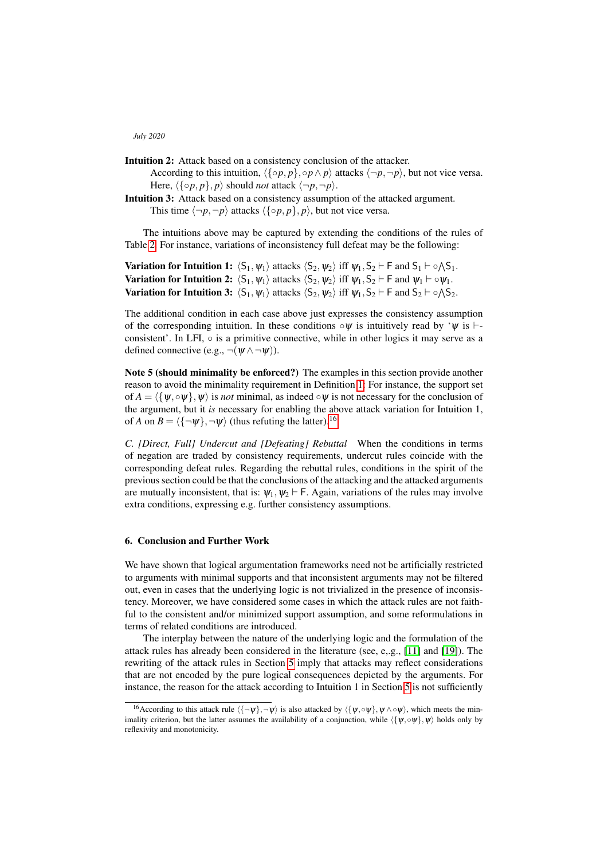- Intuition 2: Attack based on a consistency conclusion of the attacker.
	- According to this intuition,  $\langle {\alpha p, p \rangle, \circ p \land p}$  attacks  $\langle \neg p, \neg p \rangle$ , but not vice versa. Here,  $\langle {\varphi p, p} \rangle$ , *p* $\rangle$  should *not* attack  $\langle \neg p, \neg p \rangle$ .
- Intuition 3: Attack based on a consistency assumption of the attacked argument. This time  $\langle \neg p, \neg p \rangle$  attacks  $\langle \{ \circ p, p \}, p \rangle$ , but not vice versa.

The intuitions above may be captured by extending the conditions of the rules of Table [2.](#page-9-0) For instance, variations of inconsistency full defeat may be the following:

**Variation for Intuition 1:**  $\langle S_1, \psi_1 \rangle$  attacks  $\langle S_2, \psi_2 \rangle$  iff  $\psi_1, S_2 \vdash F$  and  $S_1 \vdash \circ \land S_1$ . **Variation for Intuition 2:**  $\langle S_1, \psi_1 \rangle$  attacks  $\langle S_2, \psi_2 \rangle$  iff  $\psi_1, S_2 \vdash F$  and  $\psi_1 \vdash \circ \psi_1$ . **Variation for Intuition 3:**  $\langle S_1, \psi_1 \rangle$  attacks  $\langle S_2, \psi_2 \rangle$  iff  $\psi_1, S_2 \vdash F$  and  $S_2 \vdash \circ \wedge S_2$ .

The additional condition in each case above just expresses the consistency assumption of the corresponding intuition. In these conditions  $\circ \psi$  is intuitively read by ' $\psi$  is  $\vdash$ consistent'. In LFI, ◦ is a primitive connective, while in other logics it may serve as a defined connective (e.g.,  $\neg(\psi \wedge \neg \psi)$ ).

Note 5 (should minimality be enforced?) The examples in this section provide another reason to avoid the minimality requirement in Definition [1:](#page-0-3) For instance, the support set of  $A = \langle \{\psi, \circ \psi\}, \psi \rangle$  is *not* minimal, as indeed  $\circ \psi$  is not necessary for the conclusion of the argument, but it *is* necessary for enabling the above attack variation for Intuition 1, of *A* on  $B = \langle {\{\neg \psi\}}, \neg \psi \rangle$  (thus refuting the latter).<sup>[16](#page-10-0)</sup>

*C. [Direct, Full] Undercut and [Defeating] Rebuttal* When the conditions in terms of negation are traded by consistency requirements, undercut rules coincide with the corresponding defeat rules. Regarding the rebuttal rules, conditions in the spirit of the previous section could be that the conclusions of the attacking and the attacked arguments are mutually inconsistent, that is:  $\psi_1, \psi_2 \vdash F$ . Again, variations of the rules may involve extra conditions, expressing e.g. further consistency assumptions.

# 6. Conclusion and Further Work

We have shown that logical argumentation frameworks need not be artificially restricted to arguments with minimal supports and that inconsistent arguments may not be filtered out, even in cases that the underlying logic is not trivialized in the presence of inconsistency. Moreover, we have considered some cases in which the attack rules are not faithful to the consistent and/or minimized support assumption, and some reformulations in terms of related conditions are introduced.

The interplay between the nature of the underlying logic and the formulation of the attack rules has already been considered in the literature (see, e,.g., [\[11\]](#page-11-19) and [\[19\]](#page-11-20)). The rewriting of the attack rules in Section [5](#page-8-0) imply that attacks may reflect considerations that are not encoded by the pure logical consequences depicted by the arguments. For instance, the reason for the attack according to Intuition 1 in Section [5](#page-8-0) is not sufficiently

<span id="page-10-0"></span><sup>&</sup>lt;sup>16</sup>According to this attack rule  $\langle {\neg \psi}, \neg \psi \rangle$  is also attacked by  $\langle {\psi}, \neg \psi \rangle$ ,  $\psi \wedge \neg \psi$ , which meets the minimality criterion, but the latter assumes the availability of a conjunction, while  $\langle \{\psi, \circ \psi\}, \psi \rangle$  holds only by reflexivity and monotonicity.